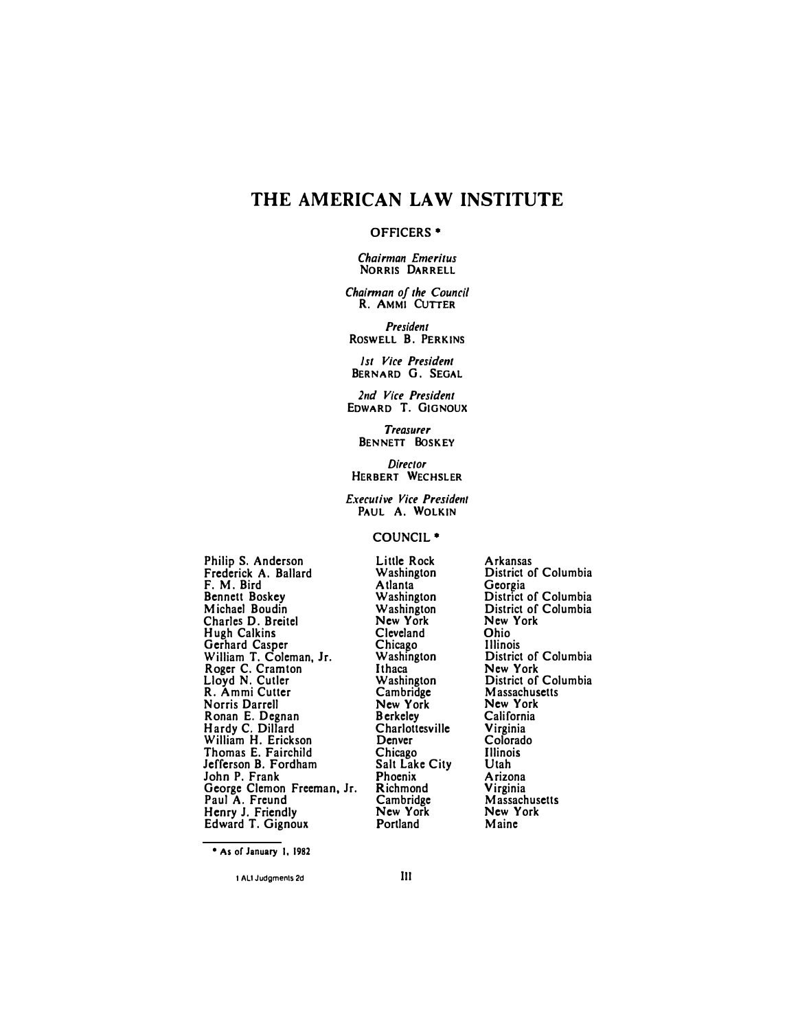# **THE AMERICAN LAW INSTITUTE**

#### **OFFICERS•**

*Chairman Emeritus*  **NORRIS DARRELL** 

*Chairman of the Council*  **R. AMMI CUTTER**

*President* **ROSWELL B. PERKINS** 

*I st Vice President*  **BERNARD G. SEGAL** 

*2nd Vice President*  **EDWARD T. GIGNOUX** 

*Treasurer*  **BENNETT BoSKEY** 

*Director*  **HERBERT WECHSLER** 

*Executive Vice President*  **PAUL A. WOLKIN** 

### **COUNCIL•**

**Philip S. Anderson Frederick A. Ballard F. M. Bird Bennett Boskey Michael Boudin Charles D. Breitel Hugh Calkins Gerhard Casper William T. Coleman, Jr. Roger C. Cramton Lloyd N. Cutler R. Ammi Cutter Norris Darrell Ronan E. Degnan Hardy C. Dillard William H. Erickson Thomas E. Fairchild Jefferson B. Fordham John P. Frank George Clemon Freeman, Jr. Paul A. Freund Henry J. Friendly Edward T. Gignoux**

**Little Rock Washington Atlanta Washington Washington New York Cleveland Chicago Washington Ithaca Washington Cambridge New York Berkeley Charlottesville Denver Chicago Salt Lake City Phoenix Richmond Cambridge New York Portland** 

**Arkansas District of Columbia Geor�ia District of Columbia District of Columbia New York Ohio Illinois District of Columbia New York District of Columbia Massachusetts New York California Virginia Colorado Illinois Utah Arizona Virginia Massachusetts New York Maine** 

**<sup>•</sup> As of January I, 1982**

**<sup>1</sup> AU Judgments 2d Ill**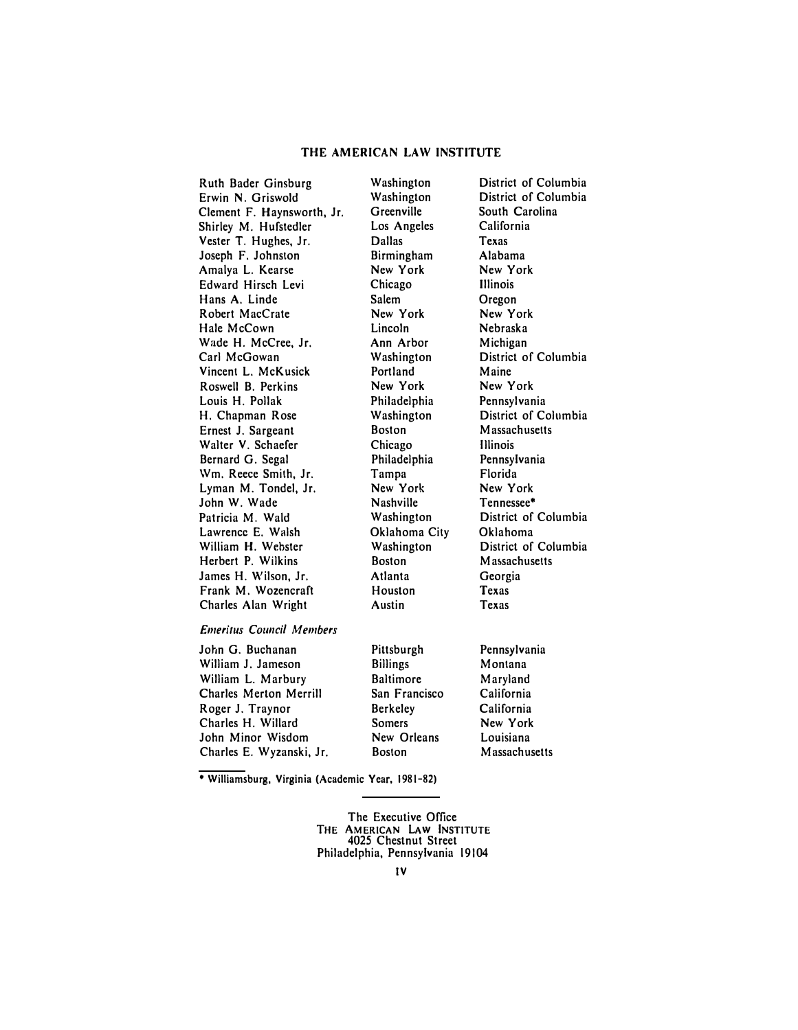#### **THE AMERICAN LAW INSTITUTE**

Ruth Bader Ginsburg Washington District of Columbia Erwin N. Griswold Washington District of Columbian Clement F. Haynsworth, Jr. Greenville South Carolina Clement F. Haynsworth, Jr. Greenville South Caroline South Carolina<br>Shirley M. Hufstedler Los Angeles California Shirley M. Hufstedler Los Angeles Califo<br>
Vester T. Hughes. Jr. Dallas Casas Vester T. Hughes, Jr. Dallas Texas Joseph F. Johnston Birmingham Alabama<br>Amalya L. Kearse New York New York Amalya L. Kearse **New York** New York New York New York New York New York New York New York New York New York New York New York New York New York New York New York New York New York New York New York New York New York New Y Edward Hirsch Levi Chicago Illinois Hans A. Linde Salem Oregon Robert MacCrate 1912 - New York New York<br>
Hale McCown 1922 - Lincoln 1920 - Nebraska Hale McCown Wade H. McCree, Jr. **Ann Arbor** Michigan<br>Carl McGowan **Mashington** District o Vincent L. McKusick **Portland** Maine<br>
Roswell B. Perkins **New York** New York **Roswell B. Perkins** Louis H. Pollak Philadelphia Pennsylvania Ernest J. Sargeant Boston Massachusetts<br>
Walter V. Schaefer Chicago Blinois Walter V. Schaefer Chicago Bernard G. Segal Chicago Bernard G. Segal Chicago Bernard G. Segal Chicago Bernard C Bernard G. Segal Philadelphia Pennsylvania Wm. Reece Smith, Jr. Tampa Florida<br>Lyman M. Tondel, Jr. New York New York Lyman M. Tondel, Jr.<br>
John W. Wade **Nashville** Rennessee\* John W. Wade Patricia M. Wald Washington District of Columbia<br>
Lawrence E. Walsh Cklahoma City Oklahoma Lawrence E. Walsh Chahoma C<br>
William H. Webster Chahoma C Herbert P. Wilkins James H. Wilson, Jr. Atlanta Georgia Frank M. Wozencraft Houston Texas<br>
Charles Alan Wright Austin Texas Charles Alan Wright

Washington District of Columbia<br>Portland Maine District of Columbia Washington **District of Columbia**<br>Boston **Massachusetts** 

# *Emeritus Council Members*

| John G. Buchanan              | Pittsburgh      | Pennsylvania         |
|-------------------------------|-----------------|----------------------|
| William J. Jameson            | <b>Billings</b> | Montana              |
| William L. Marbury            | Baltimore       | Maryland             |
| <b>Charles Merton Merrill</b> | San Francisco   | California           |
| Roger J. Traynor              | <b>Berkeley</b> | California           |
| Charles H. Willard            | <b>Somers</b>   | New York             |
| John Minor Wisdom             | New Orleans     | Louisiana            |
| Charles E. Wyzanski, Jr.      | <b>Boston</b>   | <b>Massachusetts</b> |

**• Williamsburg, Virginia (Academic Year, 1981-82)** 

The Executive Office **THE AMERICAN LAW INSTITUTE**  4025 Chestnut Street Philadelphia, Pennsylvania 19104